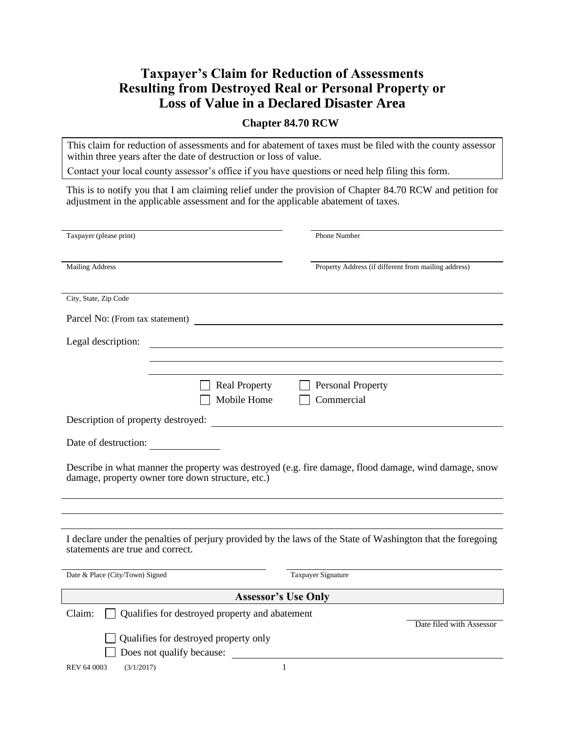# **Taxpayer's Claim for Reduction of Assessments Resulting from Destroyed Real or Personal Property or Loss of Value in a Declared Disaster Area**

#### **Chapter 84.70 RCW**

This claim for reduction of assessments and for abatement of taxes must be filed with the county assessor within three years after the date of destruction or loss of value.

Contact your local county assessor's office if you have questions or need help filing this form.

This is to notify you that I am claiming relief under the provision of Chapter 84.70 RCW and petition for adjustment in the applicable assessment and for the applicable abatement of taxes.

| Taxpayer (please print)                                                                                                                                    | <b>Phone Number</b>                                  |  |  |  |
|------------------------------------------------------------------------------------------------------------------------------------------------------------|------------------------------------------------------|--|--|--|
|                                                                                                                                                            |                                                      |  |  |  |
|                                                                                                                                                            |                                                      |  |  |  |
| <b>Mailing Address</b>                                                                                                                                     | Property Address (if different from mailing address) |  |  |  |
|                                                                                                                                                            |                                                      |  |  |  |
| City, State, Zip Code                                                                                                                                      |                                                      |  |  |  |
|                                                                                                                                                            |                                                      |  |  |  |
| Parcel No: (From tax statement)                                                                                                                            |                                                      |  |  |  |
| Legal description:                                                                                                                                         |                                                      |  |  |  |
|                                                                                                                                                            |                                                      |  |  |  |
|                                                                                                                                                            |                                                      |  |  |  |
|                                                                                                                                                            |                                                      |  |  |  |
| <b>Real Property</b>                                                                                                                                       | <b>Personal Property</b>                             |  |  |  |
| Mobile Home                                                                                                                                                | Commercial                                           |  |  |  |
| Description of property destroyed:                                                                                                                         |                                                      |  |  |  |
|                                                                                                                                                            |                                                      |  |  |  |
| Date of destruction:                                                                                                                                       |                                                      |  |  |  |
|                                                                                                                                                            |                                                      |  |  |  |
| Describe in what manner the property was destroyed (e.g. fire damage, flood damage, wind damage, snow<br>damage, property owner tore down structure, etc.) |                                                      |  |  |  |
|                                                                                                                                                            |                                                      |  |  |  |
|                                                                                                                                                            |                                                      |  |  |  |
|                                                                                                                                                            |                                                      |  |  |  |
|                                                                                                                                                            |                                                      |  |  |  |
| I declare under the penalties of perjury provided by the laws of the State of Washington that the foregoing<br>statements are true and correct.            |                                                      |  |  |  |
|                                                                                                                                                            |                                                      |  |  |  |
| Date & Place (City/Town) Signed                                                                                                                            | Taxpayer Signature                                   |  |  |  |
|                                                                                                                                                            |                                                      |  |  |  |
| <b>Assessor's Use Only</b>                                                                                                                                 |                                                      |  |  |  |
| Claim:<br>Qualifies for destroyed property and abatement                                                                                                   |                                                      |  |  |  |
|                                                                                                                                                            | Date filed with Assessor                             |  |  |  |
| Qualifies for destroyed property only                                                                                                                      |                                                      |  |  |  |
| Does not qualify because:                                                                                                                                  |                                                      |  |  |  |
| (3/1/2017)<br><b>REV 64 0003</b>                                                                                                                           | $\mathbf{1}$                                         |  |  |  |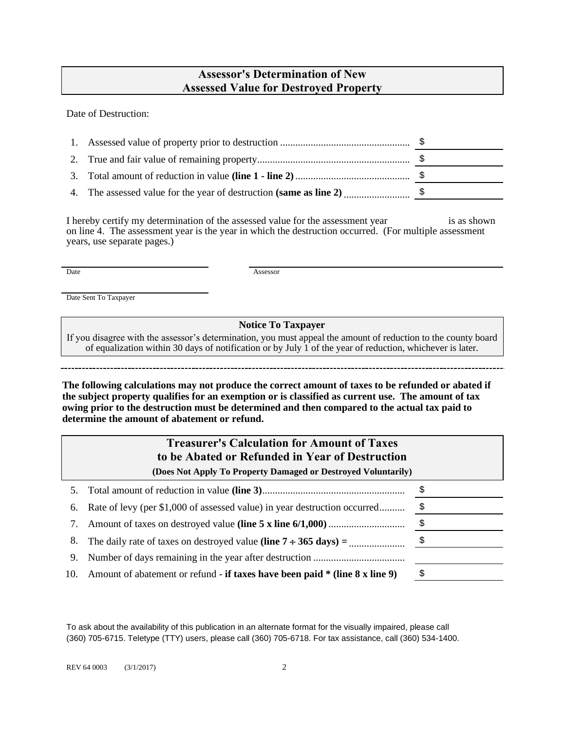# **Assessor's Determination of New Assessed Value for Destroyed Property**

Date of Destruction:

I hereby certify my determination of the assessed value for the assessment year is as shown on line 4. The assessment year is the year in which the destruction occurred. (For multiple assessment years, use separate pages.)

Date Assessor

Date Sent To Taxpayer

**Notice To Taxpayer**

If you disagree with the assessor's determination, you must appeal the amount of reduction to the county board of equalization within 30 days of notification or by July 1 of the year of reduction, whichever is later.

**The following calculations may not produce the correct amount of taxes to be refunded or abated if the subject property qualifies for an exemption or is classified as current use. The amount of tax owing prior to the destruction must be determined and then compared to the actual tax paid to determine the amount of abatement or refund.**

| <b>Treasurer's Calculation for Amount of Taxes</b><br>to be Abated or Refunded in Year of Destruction<br>(Does Not Apply To Property Damaged or Destroyed Voluntarily) |                                                                             |    |  |
|------------------------------------------------------------------------------------------------------------------------------------------------------------------------|-----------------------------------------------------------------------------|----|--|
|                                                                                                                                                                        |                                                                             |    |  |
|                                                                                                                                                                        |                                                                             |    |  |
| 7.                                                                                                                                                                     |                                                                             |    |  |
| 8.                                                                                                                                                                     |                                                                             | \$ |  |
| 9.                                                                                                                                                                     |                                                                             |    |  |
| 10.                                                                                                                                                                    | Amount of abatement or refund - if taxes have been paid * (line 8 x line 9) | \$ |  |

To ask about the availability of this publication in an alternate format for the visually impaired, please call (360) 705-6715. Teletype (TTY) users, please call (360) 705-6718. For tax assistance, call (360) 534-1400.